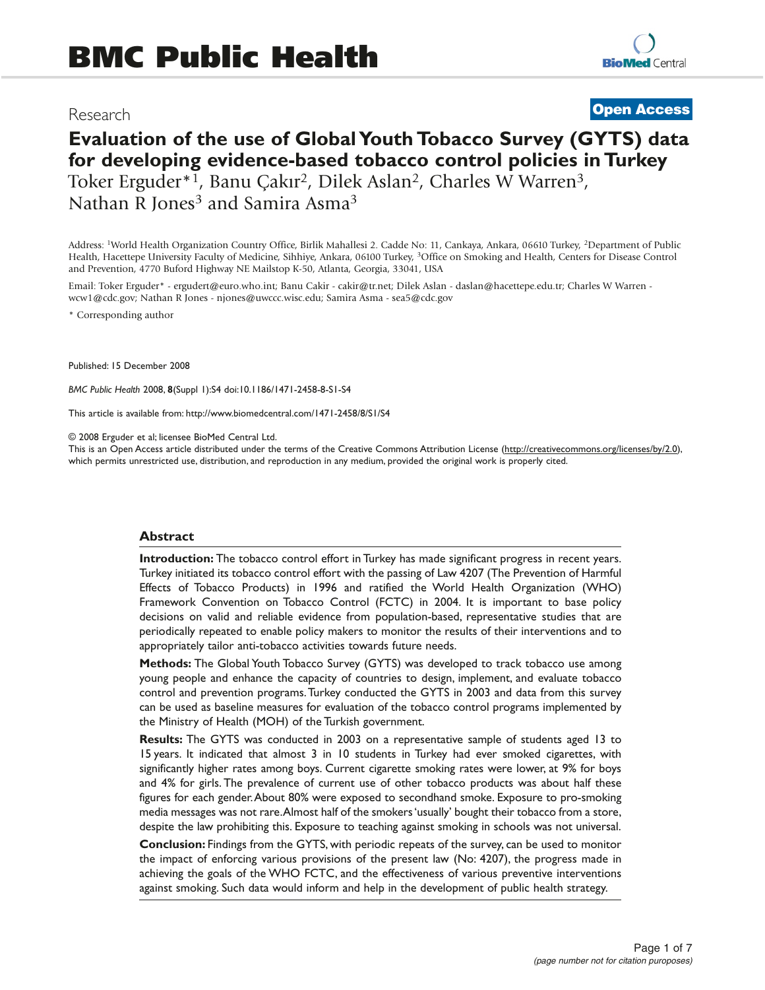# Research

# **Open Access**

# **Evaluation of the use of Global Youth Tobacco Survey (GYTS) data for developing evidence-based tobacco control policies in Turkey** Toker Erguder\*<sup>1</sup>, Banu Çakır<sup>2</sup>, Dilek Aslan<sup>2</sup>, Charles W Warren<sup>3</sup>, Nathan R Jones<sup>3</sup> and Samira Asma<sup>3</sup>

Address: 1World Health Organization Country Office, Birlik Mahallesi 2. Cadde No: 11, Cankaya, Ankara, 06610 Turkey, 2Department of Public Health, Hacettepe University Faculty of Medicine, Sihhiye, Ankara, 06100 Turkey, 3Office on Smoking and Health, Centers for Disease Control and Prevention, 4770 Buford Highway NE Mailstop K-50, Atlanta, Georgia, 33041, USA

Email: Toker Erguder\* - ergudert@euro.who.int; Banu Cakir - cakir@tr.net; Dilek Aslan - daslan@hacettepe.edu.tr; Charles W Warren wcw1@cdc.gov; Nathan R Jones - njones@uwccc.wisc.edu; Samira Asma - sea5@cdc.gov

\* Corresponding author

Published: 15 December 2008

*BMC Public Health* 2008, **8**(Suppl 1):S4 doi:10.1186/1471-2458-8-S1-S4

This article is available from: http://www.biomedcentral.com/1471-2458/8/S1/S4

© 2008 Erguder et al; licensee BioMed Central Ltd.

This is an Open Access article distributed under the terms of the Creative Commons Attribution License (http://creativecommons.org/licenses/by/2.0), which permits unrestricted use, distribution, and reproduction in any medium, provided the original work is properly cited.

#### **Abstract**

**Introduction:** The tobacco control effort in Turkey has made significant progress in recent years. Turkey initiated its tobacco control effort with the passing of Law 4207 (The Prevention of Harmful Effects of Tobacco Products) in 1996 and ratified the World Health Organization (WHO) Framework Convention on Tobacco Control (FCTC) in 2004. It is important to base policy decisions on valid and reliable evidence from population-based, representative studies that are periodically repeated to enable policy makers to monitor the results of their interventions and to appropriately tailor anti-tobacco activities towards future needs.

**Methods:** The Global Youth Tobacco Survey (GYTS) was developed to track tobacco use among young people and enhance the capacity of countries to design, implement, and evaluate tobacco control and prevention programs.Turkey conducted the GYTS in 2003 and data from this survey can be used as baseline measures for evaluation of the tobacco control programs implemented by the Ministry of Health (MOH) of the Turkish government.

**Results:** The GYTS was conducted in 2003 on a representative sample of students aged 13 to 15 years. It indicated that almost 3 in 10 students in Turkey had ever smoked cigarettes, with significantly higher rates among boys. Current cigarette smoking rates were lower, at 9% for boys and 4% for girls. The prevalence of current use of other tobacco products was about half these figures for each gender.About 80% were exposed to secondhand smoke. Exposure to pro-smoking media messages was not rare.Almost half of the smokers 'usually' bought their tobacco from a store, despite the law prohibiting this. Exposure to teaching against smoking in schools was not universal.

**Conclusion:** Findings from the GYTS, with periodic repeats of the survey, can be used to monitor the impact of enforcing various provisions of the present law (No: 4207), the progress made in achieving the goals of the WHO FCTC, and the effectiveness of various preventive interventions against smoking. Such data would inform and help in the development of public health strategy.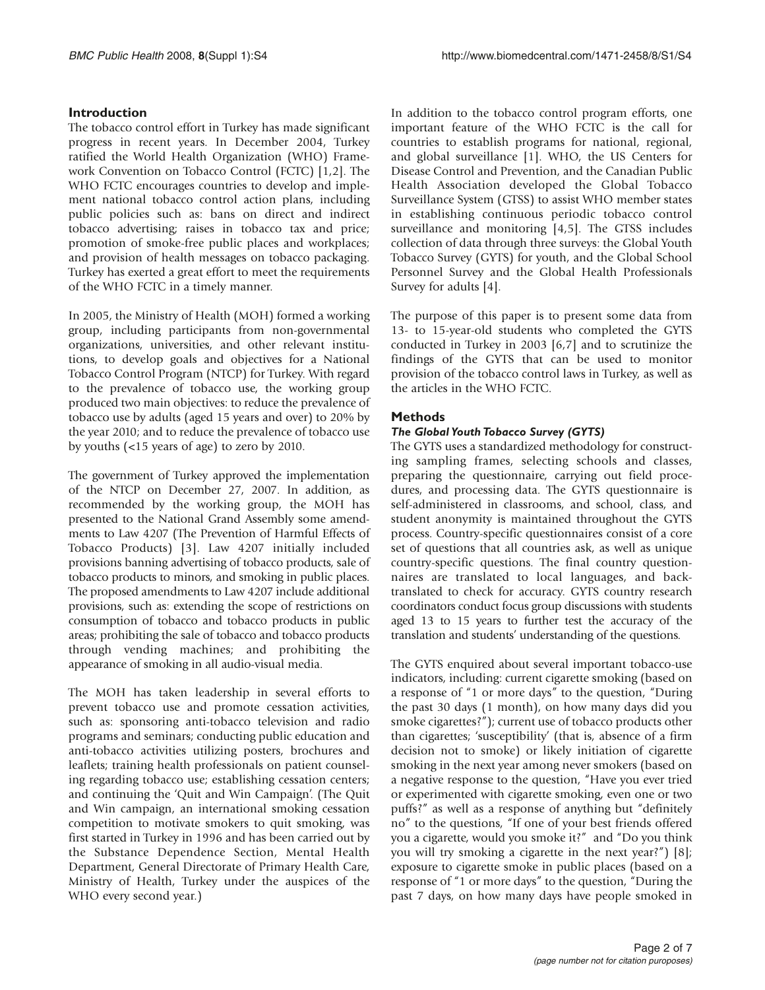# **Introduction**

The tobacco control effort in Turkey has made significant progress in recent years. In December 2004, Turkey ratified the World Health Organization (WHO) Framework Convention on Tobacco Control (FCTC) [1,2]. The WHO FCTC encourages countries to develop and implement national tobacco control action plans, including public policies such as: bans on direct and indirect tobacco advertising; raises in tobacco tax and price; promotion of smoke-free public places and workplaces; and provision of health messages on tobacco packaging. Turkey has exerted a great effort to meet the requirements of the WHO FCTC in a timely manner.

In 2005, the Ministry of Health (MOH) formed a working group, including participants from non-governmental organizations, universities, and other relevant institutions, to develop goals and objectives for a National Tobacco Control Program (NTCP) for Turkey. With regard to the prevalence of tobacco use, the working group produced two main objectives: to reduce the prevalence of tobacco use by adults (aged 15 years and over) to 20% by the year 2010; and to reduce the prevalence of tobacco use by youths (<15 years of age) to zero by 2010.

The government of Turkey approved the implementation of the NTCP on December 27, 2007. In addition, as recommended by the working group, the MOH has presented to the National Grand Assembly some amendments to Law 4207 (The Prevention of Harmful Effects of Tobacco Products) [3]. Law 4207 initially included provisions banning advertising of tobacco products, sale of tobacco products to minors, and smoking in public places. The proposed amendments to Law 4207 include additional provisions, such as: extending the scope of restrictions on consumption of tobacco and tobacco products in public areas; prohibiting the sale of tobacco and tobacco products through vending machines; and prohibiting the appearance of smoking in all audio-visual media.

The MOH has taken leadership in several efforts to prevent tobacco use and promote cessation activities, such as: sponsoring anti-tobacco television and radio programs and seminars; conducting public education and anti-tobacco activities utilizing posters, brochures and leaflets; training health professionals on patient counseling regarding tobacco use; establishing cessation centers; and continuing the 'Quit and Win Campaign'. (The Quit and Win campaign, an international smoking cessation competition to motivate smokers to quit smoking, was first started in Turkey in 1996 and has been carried out by the Substance Dependence Section, Mental Health Department, General Directorate of Primary Health Care, Ministry of Health, Turkey under the auspices of the WHO every second year.)

In addition to the tobacco control program efforts, one important feature of the WHO FCTC is the call for countries to establish programs for national, regional, and global surveillance [1]. WHO, the US Centers for Disease Control and Prevention, and the Canadian Public Health Association developed the Global Tobacco Surveillance System (GTSS) to assist WHO member states in establishing continuous periodic tobacco control surveillance and monitoring [4,5]. The GTSS includes collection of data through three surveys: the Global Youth Tobacco Survey (GYTS) for youth, and the Global School Personnel Survey and the Global Health Professionals Survey for adults [4].

The purpose of this paper is to present some data from 13- to 15-year-old students who completed the GYTS conducted in Turkey in 2003 [6,7] and to scrutinize the findings of the GYTS that can be used to monitor provision of the tobacco control laws in Turkey, as well as the articles in the WHO FCTC.

# **Methods**

# *The Global Youth Tobacco Survey (GYTS)*

The GYTS uses a standardized methodology for constructing sampling frames, selecting schools and classes, preparing the questionnaire, carrying out field procedures, and processing data. The GYTS questionnaire is self-administered in classrooms, and school, class, and student anonymity is maintained throughout the GYTS process. Country-specific questionnaires consist of a core set of questions that all countries ask, as well as unique country-specific questions. The final country questionnaires are translated to local languages, and backtranslated to check for accuracy. GYTS country research coordinators conduct focus group discussions with students aged 13 to 15 years to further test the accuracy of the translation and students' understanding of the questions.

The GYTS enquired about several important tobacco-use indicators, including: current cigarette smoking (based on a response of "1 or more days" to the question, "During the past 30 days (1 month), on how many days did you smoke cigarettes?"); current use of tobacco products other than cigarettes; 'susceptibility' (that is, absence of a firm decision not to smoke) or likely initiation of cigarette smoking in the next year among never smokers (based on a negative response to the question, "Have you ever tried or experimented with cigarette smoking, even one or two puffs?" as well as a response of anything but "definitely no" to the questions, "If one of your best friends offered you a cigarette, would you smoke it?" and "Do you think you will try smoking a cigarette in the next year?") [8]; exposure to cigarette smoke in public places (based on a response of "1 or more days" to the question, "During the past 7 days, on how many days have people smoked in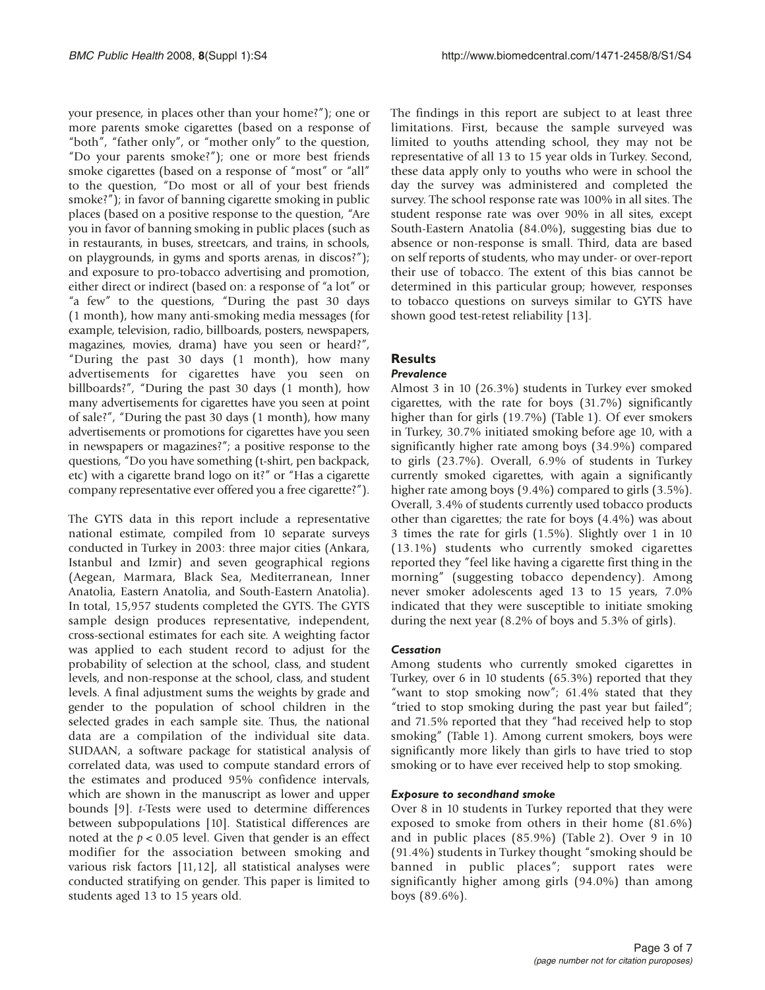your presence, in places other than your home?"); one or more parents smoke cigarettes (based on a response of "both", "father only", or "mother only" to the question, "Do your parents smoke?"); one or more best friends smoke cigarettes (based on a response of "most" or "all" to the question, "Do most or all of your best friends smoke?"); in favor of banning cigarette smoking in public places (based on a positive response to the question, "Are you in favor of banning smoking in public places (such as in restaurants, in buses, streetcars, and trains, in schools, on playgrounds, in gyms and sports arenas, in discos?"); and exposure to pro-tobacco advertising and promotion, either direct or indirect (based on: a response of "a lot" or "a few" to the questions, "During the past 30 days (1 month), how many anti-smoking media messages (for example, television, radio, billboards, posters, newspapers, magazines, movies, drama) have you seen or heard?", "During the past 30 days (1 month), how many advertisements for cigarettes have you seen on billboards?", "During the past 30 days (1 month), how many advertisements for cigarettes have you seen at point of sale?", "During the past 30 days (1 month), how many advertisements or promotions for cigarettes have you seen in newspapers or magazines?"; a positive response to the questions, "Do you have something (t-shirt, pen backpack, etc) with a cigarette brand logo on it?" or "Has a cigarette company representative ever offered you a free cigarette?").

The GYTS data in this report include a representative national estimate, compiled from 10 separate surveys conducted in Turkey in 2003: three major cities (Ankara, Istanbul and Izmir) and seven geographical regions (Aegean, Marmara, Black Sea, Mediterranean, Inner Anatolia, Eastern Anatolia, and South-Eastern Anatolia). In total, 15,957 students completed the GYTS. The GYTS sample design produces representative, independent, cross-sectional estimates for each site. A weighting factor was applied to each student record to adjust for the probability of selection at the school, class, and student levels, and non-response at the school, class, and student levels. A final adjustment sums the weights by grade and gender to the population of school children in the selected grades in each sample site. Thus, the national data are a compilation of the individual site data. SUDAAN, a software package for statistical analysis of correlated data, was used to compute standard errors of the estimates and produced 95% confidence intervals, which are shown in the manuscript as lower and upper bounds [9]. t-Tests were used to determine differences between subpopulations [10]. Statistical differences are noted at the  $p < 0.05$  level. Given that gender is an effect modifier for the association between smoking and various risk factors [11,12], all statistical analyses were conducted stratifying on gender. This paper is limited to students aged 13 to 15 years old.

The findings in this report are subject to at least three limitations. First, because the sample surveyed was limited to youths attending school, they may not be representative of all 13 to 15 year olds in Turkey. Second, these data apply only to youths who were in school the day the survey was administered and completed the survey. The school response rate was 100% in all sites. The student response rate was over 90% in all sites, except South-Eastern Anatolia (84.0%), suggesting bias due to absence or non-response is small. Third, data are based on self reports of students, who may under- or over-report their use of tobacco. The extent of this bias cannot be determined in this particular group; however, responses to tobacco questions on surveys similar to GYTS have shown good test-retest reliability [13].

# **Results**

# *Prevalence*

Almost 3 in 10 (26.3%) students in Turkey ever smoked cigarettes, with the rate for boys (31.7%) significantly higher than for girls (19.7%) (Table 1). Of ever smokers in Turkey, 30.7% initiated smoking before age 10, with a significantly higher rate among boys (34.9%) compared to girls (23.7%). Overall, 6.9% of students in Turkey currently smoked cigarettes, with again a significantly higher rate among boys (9.4%) compared to girls (3.5%). Overall, 3.4% of students currently used tobacco products other than cigarettes; the rate for boys (4.4%) was about 3 times the rate for girls (1.5%). Slightly over 1 in 10 (13.1%) students who currently smoked cigarettes reported they "feel like having a cigarette first thing in the morning" (suggesting tobacco dependency). Among never smoker adolescents aged 13 to 15 years, 7.0% indicated that they were susceptible to initiate smoking during the next year (8.2% of boys and 5.3% of girls).

# *Cessation*

Among students who currently smoked cigarettes in Turkey, over 6 in 10 students (65.3%) reported that they "want to stop smoking now"; 61.4% stated that they "tried to stop smoking during the past year but failed"; and 71.5% reported that they "had received help to stop smoking" (Table 1). Among current smokers, boys were significantly more likely than girls to have tried to stop smoking or to have ever received help to stop smoking.

### *Exposure to secondhand smoke*

Over 8 in 10 students in Turkey reported that they were exposed to smoke from others in their home (81.6%) and in public places (85.9%) (Table 2). Over 9 in 10 (91.4%) students in Turkey thought "smoking should be banned in public places"; support rates were significantly higher among girls (94.0%) than among boys (89.6%).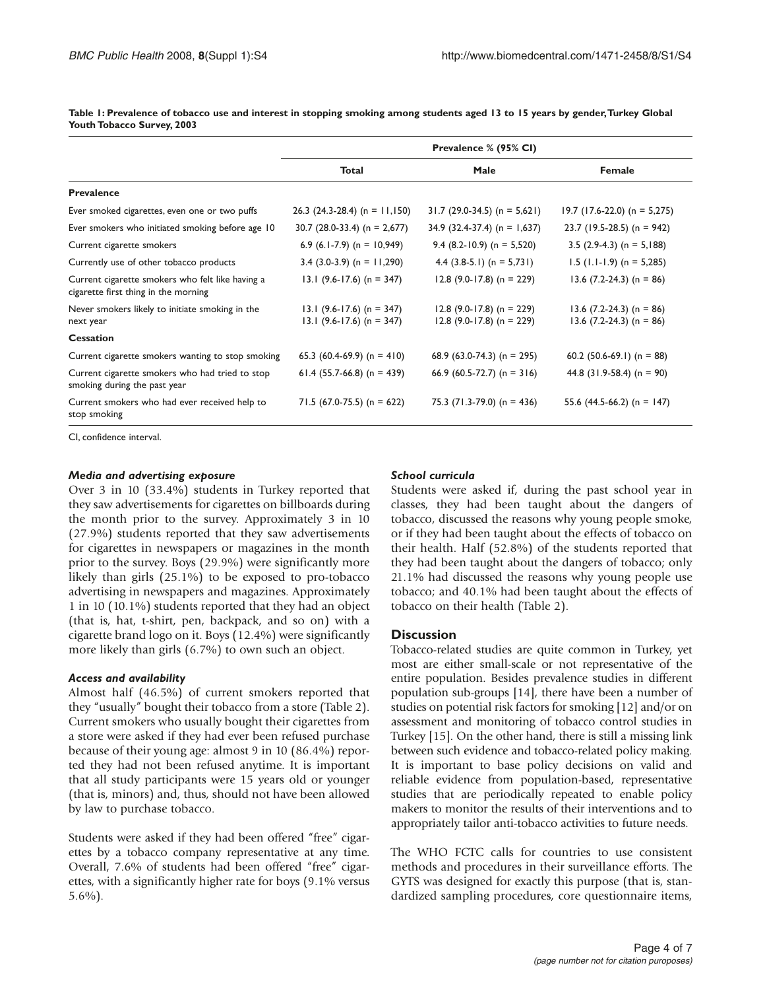|                                                                                          | Prevalence % (95% CI)                                      |                                                            |                                                          |
|------------------------------------------------------------------------------------------|------------------------------------------------------------|------------------------------------------------------------|----------------------------------------------------------|
|                                                                                          | <b>Total</b>                                               | Male                                                       | Female                                                   |
| <b>Prevalence</b>                                                                        |                                                            |                                                            |                                                          |
| Ever smoked cigarettes, even one or two puffs                                            | 26.3 (24.3-28.4) (n = $11,150$ )                           | $31.7$ (29.0-34.5) (n = 5,621)                             | $19.7$ (17.6-22.0) (n = 5,275)                           |
| Ever smokers who initiated smoking before age 10                                         | 30.7 $(28.0-33.4)$ (n = 2,677)                             | 34.9 (32.4-37.4) (n = $1,637$ )                            | 23.7 (19.5-28.5) (n = 942)                               |
| Current cigarette smokers                                                                | 6.9 (6.1-7.9) (n = $10,949$ )                              | 9.4 $(8.2 - 10.9)$ (n = 5,520)                             | 3.5 $(2.9-4.3)$ (n = 5,188)                              |
| Currently use of other tobacco products                                                  | 3.4 $(3.0-3.9)$ (n = 11,290)                               | 4.4 $(3.8-5.1)$ (n = 5,731)                                | $1.5$ (1.1-1.9) (n = 5,285)                              |
| Current cigarette smokers who felt like having a<br>cigarette first thing in the morning | $13.1$ (9.6-17.6) (n = 347)                                | $12.8$ (9.0-17.8) (n = 229)                                | $13.6$ (7.2-24.3) (n = 86)                               |
| Never smokers likely to initiate smoking in the<br>next year                             | $13.1$ (9.6-17.6) (n = 347)<br>13.1 $(9.6-17.6)$ (n = 347) | $12.8$ (9.0-17.8) (n = 229)<br>$12.8$ (9.0-17.8) (n = 229) | $13.6$ (7.2-24.3) (n = 86)<br>$13.6$ (7.2-24.3) (n = 86) |
| <b>Cessation</b>                                                                         |                                                            |                                                            |                                                          |
| Current cigarette smokers wanting to stop smoking                                        | 65.3 (60.4-69.9) (n = 410)                                 | 68.9 (63.0-74.3) (n = 295)                                 | 60.2 $(50.6-69.1)$ (n = 88)                              |
| Current cigarette smokers who had tried to stop<br>smoking during the past year          | 61.4 (55.7-66.8) (n = 439)                                 | 66.9 (60.5-72.7) (n = 316)                                 | 44.8 $(31.9-58.4)$ (n = 90)                              |
| Current smokers who had ever received help to<br>stop smoking                            | $71.5$ (67.0-75.5) (n = 622)                               | 75.3 $(71.3-79.0)$ (n = 436)                               | 55.6 $(44.5-66.2)$ (n = 147)                             |

**Table 1: Prevalence of tobacco use and interest in stopping smoking among students aged 13 to 15 years by gender,Turkey Global Youth Tobacco Survey, 2003** 

CI, confidence interval.

#### *Media and advertising exposure*

Over 3 in 10 (33.4%) students in Turkey reported that they saw advertisements for cigarettes on billboards during the month prior to the survey. Approximately 3 in 10 (27.9%) students reported that they saw advertisements for cigarettes in newspapers or magazines in the month prior to the survey. Boys (29.9%) were significantly more likely than girls (25.1%) to be exposed to pro-tobacco advertising in newspapers and magazines. Approximately 1 in 10 (10.1%) students reported that they had an object (that is, hat, t-shirt, pen, backpack, and so on) with a cigarette brand logo on it. Boys (12.4%) were significantly more likely than girls (6.7%) to own such an object.

#### *Access and availability*

Almost half (46.5%) of current smokers reported that they "usually" bought their tobacco from a store (Table 2). Current smokers who usually bought their cigarettes from a store were asked if they had ever been refused purchase because of their young age: almost 9 in 10 (86.4%) reported they had not been refused anytime. It is important that all study participants were 15 years old or younger (that is, minors) and, thus, should not have been allowed by law to purchase tobacco.

Students were asked if they had been offered "free" cigarettes by a tobacco company representative at any time. Overall, 7.6% of students had been offered "free" cigarettes, with a significantly higher rate for boys (9.1% versus 5.6%).

#### *School curricula*

Students were asked if, during the past school year in classes, they had been taught about the dangers of tobacco, discussed the reasons why young people smoke, or if they had been taught about the effects of tobacco on their health. Half (52.8%) of the students reported that they had been taught about the dangers of tobacco; only 21.1% had discussed the reasons why young people use tobacco; and 40.1% had been taught about the effects of tobacco on their health (Table 2).

#### **Discussion**

Tobacco-related studies are quite common in Turkey, yet most are either small-scale or not representative of the entire population. Besides prevalence studies in different population sub-groups [14], there have been a number of studies on potential risk factors for smoking [12] and/or on assessment and monitoring of tobacco control studies in Turkey [15]. On the other hand, there is still a missing link between such evidence and tobacco-related policy making. It is important to base policy decisions on valid and reliable evidence from population-based, representative studies that are periodically repeated to enable policy makers to monitor the results of their interventions and to appropriately tailor anti-tobacco activities to future needs.

The WHO FCTC calls for countries to use consistent methods and procedures in their surveillance efforts. The GYTS was designed for exactly this purpose (that is, standardized sampling procedures, core questionnaire items,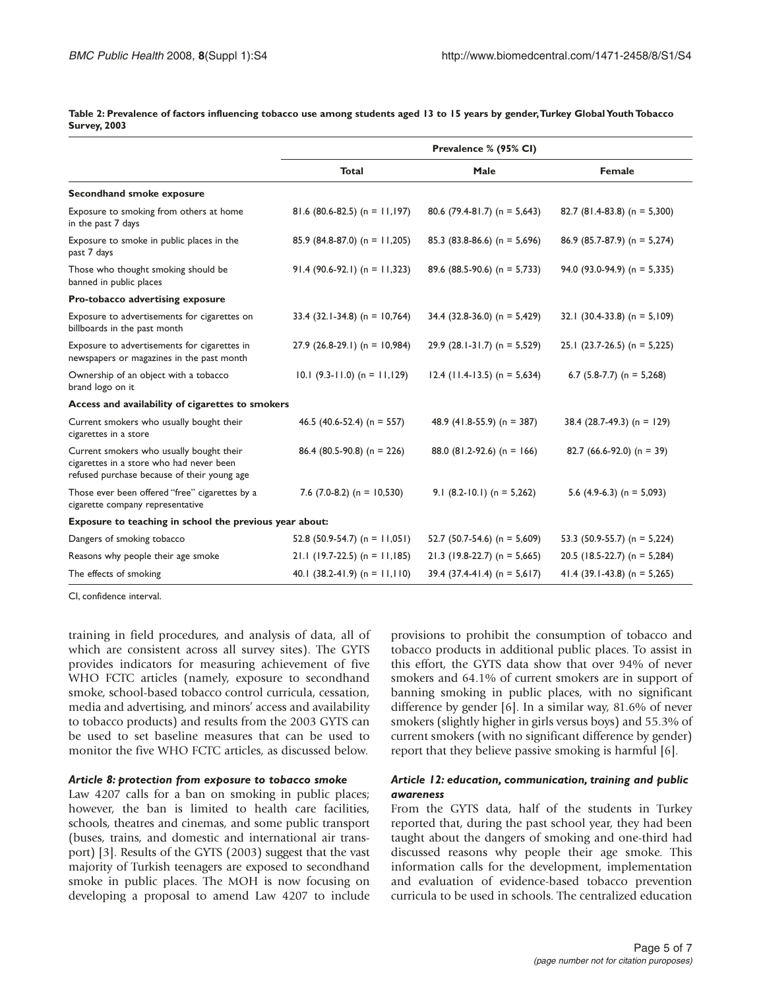**Table 2: Prevalence of factors influencing tobacco use among students aged 13 to 15 years by gender,Turkey Global Youth Tobacco Survey, 2003** 

|                                                                                                                                     | Prevalence % (95% CI)             |                                  |                                  |
|-------------------------------------------------------------------------------------------------------------------------------------|-----------------------------------|----------------------------------|----------------------------------|
|                                                                                                                                     | <b>Total</b>                      | Male                             | Female                           |
| Secondhand smoke exposure                                                                                                           |                                   |                                  |                                  |
| Exposure to smoking from others at home<br>in the past 7 days                                                                       | 81.6 (80.6-82.5) (n = $11,197$ )  | 80.6 (79.4-81.7) (n = 5,643)     | 82.7 (81.4-83.8) (n = 5,300)     |
| Exposure to smoke in public places in the<br>past 7 days                                                                            | 85.9 (84.8-87.0) (n = 11,205)     | 85.3 (83.8-86.6) ( $n = 5,696$ ) | 86.9 (85.7-87.9) (n = 5,274)     |
| Those who thought smoking should be<br>banned in public places                                                                      | $91.4 (90.6-92.1) (n = 11,323)$   | 89.6 (88.5-90.6) (n = 5,733)     | 94.0 (93.0-94.9) ( $n = 5,335$ ) |
| Pro-tobacco advertising exposure                                                                                                    |                                   |                                  |                                  |
| Exposure to advertisements for cigarettes on<br>billboards in the past month                                                        | $33.4$ (32.1-34.8) (n = 10,764)   | $34.4$ (32.8-36.0) (n = 5,429)   | 32.1 $(30.4-33.8)$ (n = 5,109)   |
| Exposure to advertisements for cigarettes in<br>newspapers or magazines in the past month                                           | $27.9$ (26.8-29.1) (n = 10,984)   | $29.9$ (28.1-31.7) (n = 5,529)   | $25.1$ (23.7-26.5) (n = 5,225)   |
| Ownership of an object with a tobacco<br>brand logo on it                                                                           | $10.1$ (9.3-11.0) (n = 11,129)    | $12.4$ (11.4-13.5) (n = 5,634)   | 6.7 $(5.8-7.7)$ (n = 5,268)      |
| Access and availability of cigarettes to smokers                                                                                    |                                   |                                  |                                  |
| Current smokers who usually bought their<br>cigarettes in a store                                                                   | 46.5 (40.6-52.4) (n = 557)        | 48.9 $(41.8-55.9)$ (n = 387)     | 38.4 (28.7-49.3) (n = 129)       |
| Current smokers who usually bought their<br>cigarettes in a store who had never been<br>refused purchase because of their young age | 86.4 (80.5-90.8) (n = 226)        | 88.0 (81.2-92.6) (n = 166)       | 82.7 (66.6-92.0) (n = 39)        |
| Those ever been offered "free" cigarettes by a<br>cigarette company representative                                                  | 7.6 $(7.0-8.2)$ (n = 10,530)      | 9.1 $(8.2-10.1)$ (n = 5,262)     | 5.6 $(4.9-6.3)$ (n = 5,093)      |
| Exposure to teaching in school the previous year about:                                                                             |                                   |                                  |                                  |
| Dangers of smoking tobacco                                                                                                          | 52.8 (50.9-54.7) (n = $11,051$ )  | 52.7 (50.7-54.6) (n = 5,609)     | 53.3 (50.9-55.7) (n = 5,224)     |
| Reasons why people their age smoke                                                                                                  | $21.1$ (19.7-22.5) (n = 11,185)   | $21.3$ (19.8-22.7) (n = 5,665)   | 20.5 (18.5-22.7) (n = 5,284)     |
| The effects of smoking                                                                                                              | 40.1 $(38.2 - 41.9)$ (n = 11,110) | 39.4 (37.4-41.4) (n = $5,617$ )  | 41.4 (39.1-43.8) (n = 5,265)     |

CI, confidence interval.

training in field procedures, and analysis of data, all of which are consistent across all survey sites). The GYTS provides indicators for measuring achievement of five WHO FCTC articles (namely, exposure to secondhand smoke, school-based tobacco control curricula, cessation, media and advertising, and minors' access and availability to tobacco products) and results from the 2003 GYTS can be used to set baseline measures that can be used to monitor the five WHO FCTC articles, as discussed below.

#### *Article 8: protection from exposure to tobacco smoke*

Law 4207 calls for a ban on smoking in public places; however, the ban is limited to health care facilities, schools, theatres and cinemas, and some public transport (buses, trains, and domestic and international air transport) [3]. Results of the GYTS (2003) suggest that the vast majority of Turkish teenagers are exposed to secondhand smoke in public places. The MOH is now focusing on developing a proposal to amend Law 4207 to include

provisions to prohibit the consumption of tobacco and tobacco products in additional public places. To assist in this effort, the GYTS data show that over 94% of never smokers and 64.1% of current smokers are in support of banning smoking in public places, with no significant difference by gender [6]. In a similar way, 81.6% of never smokers (slightly higher in girls versus boys) and 55.3% of current smokers (with no significant difference by gender) report that they believe passive smoking is harmful [6].

#### *Article 12: education, communication, training and public awareness*

From the GYTS data, half of the students in Turkey reported that, during the past school year, they had been taught about the dangers of smoking and one-third had discussed reasons why people their age smoke. This information calls for the development, implementation and evaluation of evidence-based tobacco prevention curricula to be used in schools. The centralized education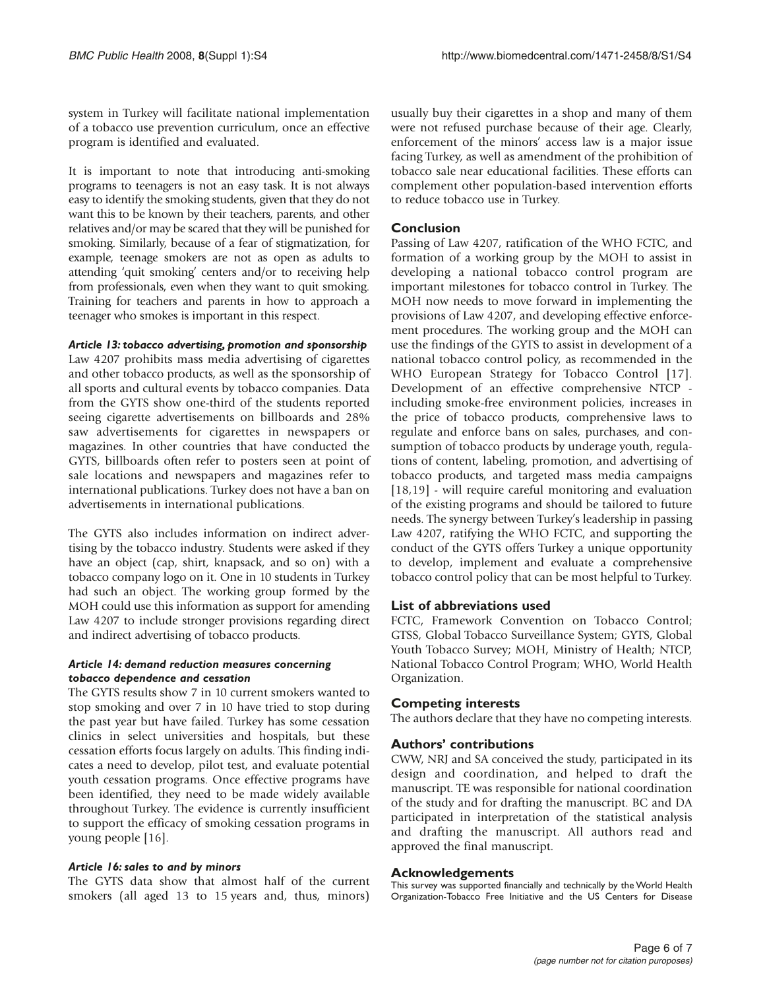system in Turkey will facilitate national implementation of a tobacco use prevention curriculum, once an effective program is identified and evaluated.

It is important to note that introducing anti-smoking programs to teenagers is not an easy task. It is not always easy to identify the smoking students, given that they do not want this to be known by their teachers, parents, and other relatives and/or may be scared that they will be punished for smoking. Similarly, because of a fear of stigmatization, for example, teenage smokers are not as open as adults to attending 'quit smoking' centers and/or to receiving help from professionals, even when they want to quit smoking. Training for teachers and parents in how to approach a teenager who smokes is important in this respect.

### *Article 13: tobacco advertising, promotion and sponsorship*

Law 4207 prohibits mass media advertising of cigarettes and other tobacco products, as well as the sponsorship of all sports and cultural events by tobacco companies. Data from the GYTS show one-third of the students reported seeing cigarette advertisements on billboards and 28% saw advertisements for cigarettes in newspapers or magazines. In other countries that have conducted the GYTS, billboards often refer to posters seen at point of sale locations and newspapers and magazines refer to international publications. Turkey does not have a ban on advertisements in international publications.

The GYTS also includes information on indirect advertising by the tobacco industry. Students were asked if they have an object (cap, shirt, knapsack, and so on) with a tobacco company logo on it. One in 10 students in Turkey had such an object. The working group formed by the MOH could use this information as support for amending Law 4207 to include stronger provisions regarding direct and indirect advertising of tobacco products.

### *Article 14: demand reduction measures concerning tobacco dependence and cessation*

The GYTS results show 7 in 10 current smokers wanted to stop smoking and over 7 in 10 have tried to stop during the past year but have failed. Turkey has some cessation clinics in select universities and hospitals, but these cessation efforts focus largely on adults. This finding indicates a need to develop, pilot test, and evaluate potential youth cessation programs. Once effective programs have been identified, they need to be made widely available throughout Turkey. The evidence is currently insufficient to support the efficacy of smoking cessation programs in young people [16].

# *Article 16: sales to and by minors*

The GYTS data show that almost half of the current smokers (all aged 13 to 15 years and, thus, minors) usually buy their cigarettes in a shop and many of them were not refused purchase because of their age. Clearly, enforcement of the minors' access law is a major issue facing Turkey, as well as amendment of the prohibition of tobacco sale near educational facilities. These efforts can complement other population-based intervention efforts to reduce tobacco use in Turkey.

# **Conclusion**

Passing of Law 4207, ratification of the WHO FCTC, and formation of a working group by the MOH to assist in developing a national tobacco control program are important milestones for tobacco control in Turkey. The MOH now needs to move forward in implementing the provisions of Law 4207, and developing effective enforcement procedures. The working group and the MOH can use the findings of the GYTS to assist in development of a national tobacco control policy, as recommended in the WHO European Strategy for Tobacco Control [17]. Development of an effective comprehensive NTCP including smoke-free environment policies, increases in the price of tobacco products, comprehensive laws to regulate and enforce bans on sales, purchases, and consumption of tobacco products by underage youth, regulations of content, labeling, promotion, and advertising of tobacco products, and targeted mass media campaigns [18,19] - will require careful monitoring and evaluation of the existing programs and should be tailored to future needs. The synergy between Turkey's leadership in passing Law 4207, ratifying the WHO FCTC, and supporting the conduct of the GYTS offers Turkey a unique opportunity to develop, implement and evaluate a comprehensive tobacco control policy that can be most helpful to Turkey.

# **List of abbreviations used**

FCTC, Framework Convention on Tobacco Control; GTSS, Global Tobacco Surveillance System; GYTS, Global Youth Tobacco Survey; MOH, Ministry of Health; NTCP, National Tobacco Control Program; WHO, World Health Organization.

# **Competing interests**

The authors declare that they have no competing interests.

# **Authors' contributions**

CWW, NRJ and SA conceived the study, participated in its design and coordination, and helped to draft the manuscript. TE was responsible for national coordination of the study and for drafting the manuscript. BC and DA participated in interpretation of the statistical analysis and drafting the manuscript. All authors read and approved the final manuscript.

# **Acknowledgements**

This survey was supported financially and technically by the World Health Organization-Tobacco Free Initiative and the US Centers for Disease